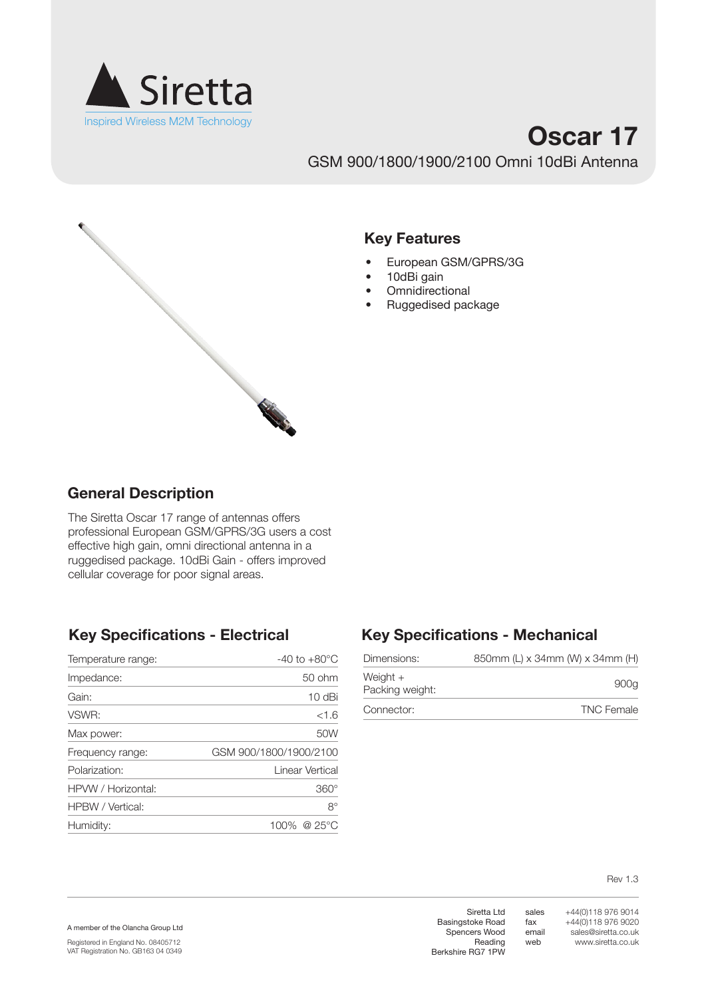

# **Oscar 17** GSM 900/1800/1900/2100 Omni 10dBi Antenna



#### **Key Features**

- • European GSM/GPRS/3G
- 10dBi gain
- Omnidirectional
- • Ruggedised package

## **General Description**

The Siretta Oscar 17 range of antennas offers professional European GSM/GPRS/3G users a cost effective high gain, omni directional antenna in a ruggedised package. 10dBi Gain - offers improved cellular coverage for poor signal areas.

| Impedance:                                 | $50$ ohm        |
|--------------------------------------------|-----------------|
| Gain:                                      | $10$ dBi        |
| VSWR:                                      | <1.6            |
| Max power:                                 | 50W             |
| GSM 900/1800/1900/2100<br>Frequency range: |                 |
| Polarization:                              | Linear Vertical |
| HPVW / Horizontal:                         | $360^\circ$     |
| HPBW / Vertical:                           | $8^{\circ}$     |
| 100% @ 25°C<br>Humidity:                   |                 |

## **Key Specifications - Electrical Key Specifications - Mechanical**

| Dimensions:                 | 850mm (L) x 34mm (W) x 34mm (H) |
|-----------------------------|---------------------------------|
| Weight +<br>Packing weight: | 900a                            |
| Connector:                  | <b>TNC Female</b>               |

Rev 1.3

A member of the Olancha Group Ltd

Registered in England No. 08405712 VAT Registration No. GB163 04 0349

Siretta Ltd Basingstoke Road Spencers Wood Reading Berkshire RG7 1PW

sales fax email web

+44(0)118 976 9014 +44(0)118 976 9020 sales@siretta.co.uk www.siretta.co.uk